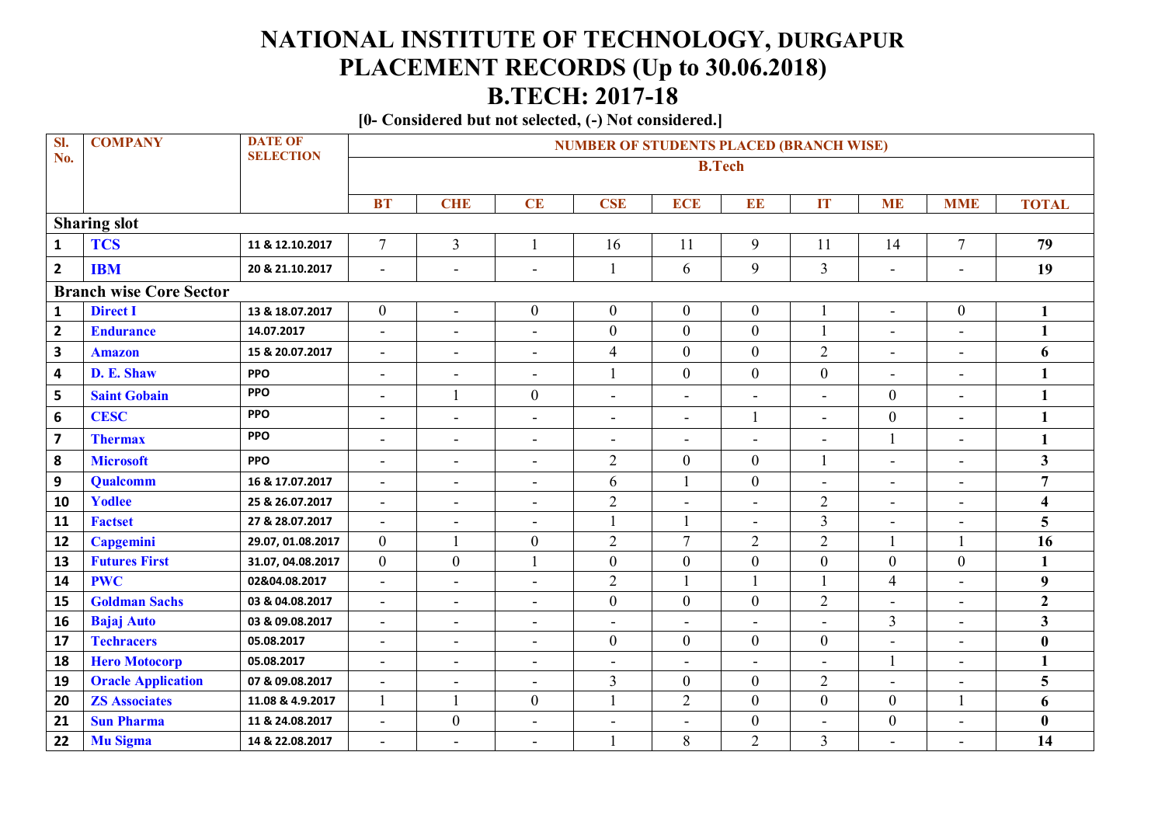## **NATIONAL INSTITUTE OF TECHNOLOGY, DURGAPUR PLACEMENT RECORDS (Up to 30.06.2018) B.TECH: 2017-18**

**[0- Considered but not selected, (-) Not considered.]**

| SI.                     | <b>COMPANY</b>                 | <b>DATE OF</b>    | <b>NUMBER OF STUDENTS PLACED (BRANCH WISE)</b> |                          |                          |                          |                          |                          |                |                          |                          |                         |  |
|-------------------------|--------------------------------|-------------------|------------------------------------------------|--------------------------|--------------------------|--------------------------|--------------------------|--------------------------|----------------|--------------------------|--------------------------|-------------------------|--|
| No.                     |                                | <b>SELECTION</b>  | <b>B.Tech</b>                                  |                          |                          |                          |                          |                          |                |                          |                          |                         |  |
|                         |                                |                   |                                                |                          |                          |                          |                          |                          |                |                          |                          |                         |  |
|                         |                                |                   | <b>BT</b>                                      | <b>CHE</b>               | <b>CE</b>                | <b>CSE</b>               | <b>ECE</b>               | EE                       | IT             | <b>ME</b>                | <b>MME</b>               | <b>TOTAL</b>            |  |
|                         | <b>Sharing slot</b>            |                   |                                                |                          |                          |                          |                          |                          |                |                          |                          |                         |  |
| $\mathbf{1}$            | <b>TCS</b>                     | 11 & 12.10.2017   | $7\overline{ }$                                | $\overline{3}$           | $\mathbf{1}$             | 16                       | 11                       | 9                        | 11             | 14                       | $\overline{7}$           | 79                      |  |
| $\mathbf{2}$            | <b>IBM</b>                     | 20 & 21.10.2017   | $\blacksquare$                                 | $\blacksquare$           | $\overline{\phantom{a}}$ | $\mathbf{1}$             | 6                        | 9                        | $\overline{3}$ | $\blacksquare$           | $\blacksquare$           | 19                      |  |
|                         | <b>Branch wise Core Sector</b> |                   |                                                |                          |                          |                          |                          |                          |                |                          |                          |                         |  |
| $\mathbf{1}$            | <b>Direct I</b>                | 13 & 18.07.2017   | $\overline{0}$                                 | $\blacksquare$           | $\boldsymbol{0}$         | $\boldsymbol{0}$         | $\mathbf{0}$             | $\boldsymbol{0}$         |                | $\blacksquare$           | $\boldsymbol{0}$         | 1                       |  |
| $\mathbf{2}$            | <b>Endurance</b>               | 14.07.2017        | $\blacksquare$                                 | $\blacksquare$           | $\blacksquare$           | $\boldsymbol{0}$         | $\overline{0}$           | $\boldsymbol{0}$         |                | $\blacksquare$           | $\overline{a}$           | $\mathbf{1}$            |  |
| $\overline{\mathbf{3}}$ | <b>Amazon</b>                  | 15 & 20.07.2017   | $\blacksquare$                                 | $\blacksquare$           | $\blacksquare$           | $\overline{4}$           | $\boldsymbol{0}$         | $\boldsymbol{0}$         | $\overline{2}$ | $\blacksquare$           | $\blacksquare$           | 6                       |  |
| 4                       | D. E. Shaw                     | <b>PPO</b>        | $\blacksquare$                                 | $\blacksquare$           |                          | $\mathbf{1}$             | $\boldsymbol{0}$         | $\boldsymbol{0}$         | $\mathbf{0}$   | $\blacksquare$           | $\overline{\phantom{0}}$ | 1                       |  |
| 5                       | <b>Saint Gobain</b>            | <b>PPO</b>        | $\blacksquare$                                 | $\mathbf{1}$             | $\overline{0}$           | $\blacksquare$           | $\blacksquare$           | $\overline{\phantom{a}}$ | ÷,             | $\boldsymbol{0}$         | L,                       | $\mathbf{1}$            |  |
| 6                       | <b>CESC</b>                    | <b>PPO</b>        | $\blacksquare$                                 | $\blacksquare$           | $\blacksquare$           | $\blacksquare$           | $\blacksquare$           | $\mathbf{1}$             | ÷,             | $\boldsymbol{0}$         | $\overline{\phantom{0}}$ | $\mathbf{1}$            |  |
| $\overline{\mathbf{z}}$ | <b>Thermax</b>                 | <b>PPO</b>        | $\blacksquare$                                 | $\sim$                   | $\overline{\phantom{a}}$ | $\blacksquare$           | $\overline{\phantom{a}}$ | $\blacksquare$           | L,             | $\mathbf{1}$             | $\blacksquare$           | 1                       |  |
| ${\bf 8}$               | <b>Microsoft</b>               | <b>PPO</b>        | $\blacksquare$                                 | $\blacksquare$           | $\blacksquare$           | $\overline{2}$           | $\boldsymbol{0}$         | $\boldsymbol{0}$         |                | $\blacksquare$           | $\blacksquare$           | $\overline{\mathbf{3}}$ |  |
| 9                       | Qualcomm                       | 16 & 17.07.2017   | $\blacksquare$                                 | $\blacksquare$           | $\blacksquare$           | 6                        |                          | $\boldsymbol{0}$         | L,             | $\overline{\phantom{a}}$ | L.                       | $\overline{7}$          |  |
| 10                      | <b>Yodlee</b>                  | 25 & 26.07.2017   | $\blacksquare$                                 | $\blacksquare$           | $\overline{\phantom{a}}$ | $\overline{2}$           | $\overline{\phantom{a}}$ | $\blacksquare$           | $\overline{2}$ | $\overline{\phantom{a}}$ | $\overline{\phantom{a}}$ | $\overline{\mathbf{4}}$ |  |
| 11                      | <b>Factset</b>                 | 27 & 28.07.2017   | $\blacksquare$                                 | $\overline{\phantom{a}}$ | $\overline{\phantom{0}}$ |                          |                          | $\overline{a}$           | $\overline{3}$ | $\blacksquare$           | $\overline{\phantom{a}}$ | 5                       |  |
| 12                      | Capgemini                      | 29.07, 01.08.2017 | $\overline{0}$                                 |                          | $\boldsymbol{0}$         | $\overline{2}$           | $\overline{7}$           | $\overline{2}$           | $\overline{2}$ |                          |                          | 16                      |  |
| 13                      | <b>Futures First</b>           | 31.07, 04.08.2017 | $\overline{0}$                                 | $\mathbf{0}$             | $\mathbf{1}$             | $\mathbf{0}$             | $\overline{0}$           | $\boldsymbol{0}$         | $\mathbf{0}$   | $\boldsymbol{0}$         | $\overline{0}$           | $\mathbf{1}$            |  |
| 14                      | <b>PWC</b>                     | 02&04.08.2017     | $\blacksquare$                                 | ÷,                       | $\blacksquare$           | $\overline{2}$           |                          | $\mathbf{1}$             |                | $\overline{4}$           | L,                       | $\boldsymbol{9}$        |  |
| 15                      | <b>Goldman Sachs</b>           | 03 & 04.08.2017   | $\blacksquare$                                 | $\overline{\phantom{a}}$ | $\blacksquare$           | $\boldsymbol{0}$         | $\boldsymbol{0}$         | $\mathbf{0}$             | $\overline{2}$ | ÷,                       | $\blacksquare$           | $\overline{2}$          |  |
| 16                      | <b>Bajaj Auto</b>              | 03 & 09.08.2017   | $\blacksquare$                                 | $\blacksquare$           | $\blacksquare$           | $\overline{\phantom{a}}$ |                          | $\blacksquare$           | $\overline{a}$ | $\overline{3}$           | L.                       | $\overline{\mathbf{3}}$ |  |
| 17                      | <b>Techracers</b>              | 05.08.2017        | $\blacksquare$                                 | $\blacksquare$           | $\overline{\phantom{a}}$ | $\boldsymbol{0}$         | $\boldsymbol{0}$         | $\boldsymbol{0}$         | $\overline{0}$ | $\blacksquare$           | $\overline{\phantom{a}}$ | $\bf{0}$                |  |
| 18                      | <b>Hero Motocorp</b>           | 05.08.2017        | $\blacksquare$                                 | $\blacksquare$           | $\overline{\phantom{a}}$ | $\blacksquare$           | $\overline{\phantom{a}}$ | $\blacksquare$           | L,             |                          | $\blacksquare$           | 1                       |  |
| 19                      | <b>Oracle Application</b>      | 07 & 09.08.2017   | $\blacksquare$                                 | $\blacksquare$           | $\blacksquare$           | $\overline{3}$           | $\boldsymbol{0}$         | $\mathbf{0}$             | $\mathbf{2}$   | $\blacksquare$           | $\blacksquare$           | 5                       |  |
| 20                      | <b>ZS Associates</b>           | 11.08 & 4.9.2017  | 1                                              | 1                        | $\mathbf{0}$             | $\mathbf{1}$             | $\overline{2}$           | $\boldsymbol{0}$         | $\mathbf{0}$   | $\mathbf{0}$             | $\mathbf{1}$             | 6                       |  |
| 21                      | <b>Sun Pharma</b>              | 11 & 24.08.2017   | $\blacksquare$                                 | $\boldsymbol{0}$         | $\blacksquare$           | $\blacksquare$           | $\blacksquare$           | $\boldsymbol{0}$         | L              | $\boldsymbol{0}$         | L,                       | $\bf{0}$                |  |
| 22                      | <b>Mu Sigma</b>                | 14 & 22.08.2017   | $\blacksquare$                                 | $\sim$                   | $\overline{\phantom{a}}$ |                          | 8                        | $\overline{2}$           | $\overline{3}$ | $\blacksquare$           | $\blacksquare$           | 14                      |  |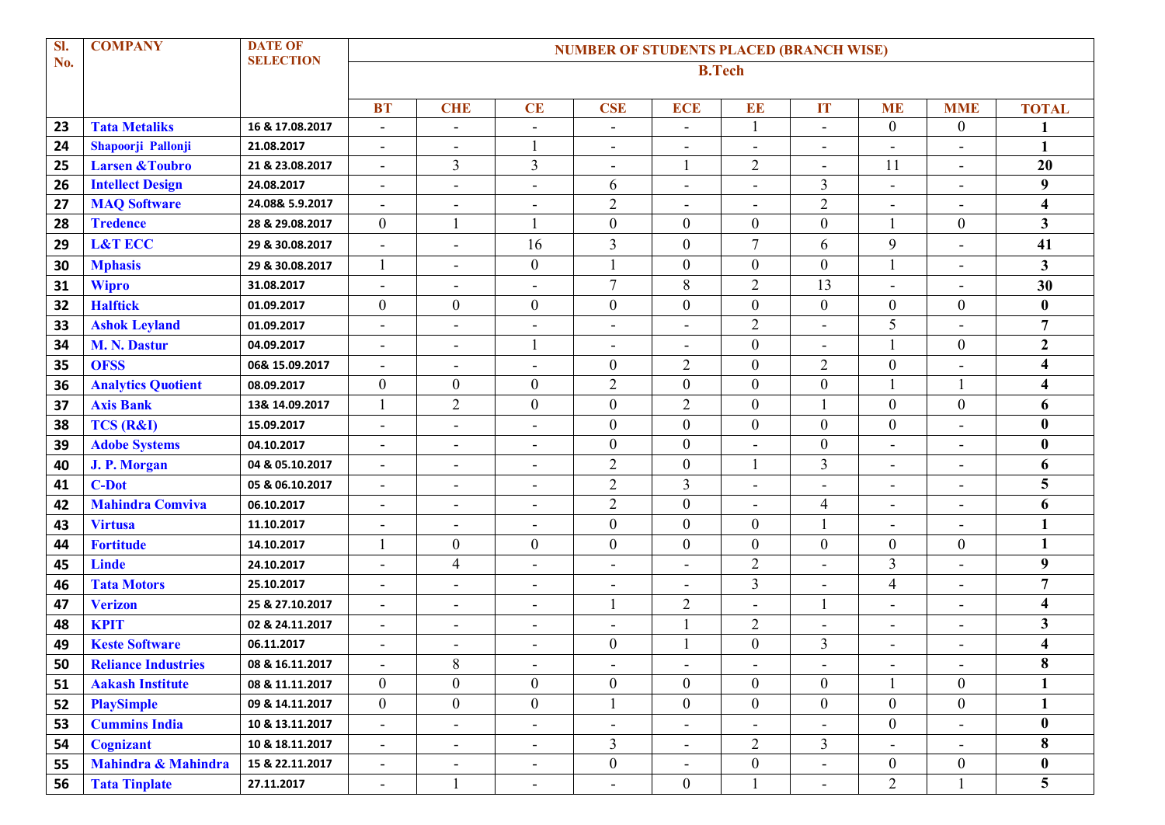| SI. | <b>COMPANY</b>             | <b>DATE OF</b>   | <b>NUMBER OF STUDENTS PLACED (BRANCH WISE)</b> |                              |                          |                          |                          |                          |                          |                          |                              |                         |  |
|-----|----------------------------|------------------|------------------------------------------------|------------------------------|--------------------------|--------------------------|--------------------------|--------------------------|--------------------------|--------------------------|------------------------------|-------------------------|--|
| No. |                            | <b>SELECTION</b> | <b>B.Tech</b>                                  |                              |                          |                          |                          |                          |                          |                          |                              |                         |  |
|     |                            |                  | <b>BT</b>                                      | <b>CHE</b>                   | CE                       | <b>CSE</b>               | <b>ECE</b>               | EE                       | IT                       | <b>ME</b>                | <b>MME</b>                   | <b>TOTAL</b>            |  |
| 23  | <b>Tata Metaliks</b>       | 16 & 17.08.2017  | $\blacksquare$                                 | $\blacksquare$               | $\overline{\phantom{a}}$ | $\sim$                   | $\blacksquare$           | $\mathbf{1}$             | ä,                       | $\overline{0}$           | $\mathbf{0}$                 | 1                       |  |
| 24  | Shapoorji Pallonji         | 21.08.2017       | $\overline{\phantom{0}}$                       | Ē,                           |                          | $\sim$                   |                          | $\overline{\phantom{a}}$ | $\overline{a}$           | $\blacksquare$           | $\blacksquare$               | 1                       |  |
| 25  | <b>Larsen &amp; Toubro</b> | 21 & 23.08.2017  | $\blacksquare$                                 | $\overline{3}$               | 3                        | $\overline{\phantom{a}}$ |                          | $\overline{2}$           | $\blacksquare$           | 11                       | $\overline{\phantom{a}}$     | 20                      |  |
| 26  | <b>Intellect Design</b>    | 24.08.2017       | ۰                                              | $\blacksquare$               | $\overline{\phantom{a}}$ | 6                        | $\overline{\phantom{a}}$ | $\blacksquare$           | 3                        | $\blacksquare$           | $\overline{\phantom{a}}$     | 9                       |  |
| 27  | <b>MAQ Software</b>        | 24.08& 5.9.2017  | ۰                                              | ۰                            |                          | $\overline{2}$           |                          | $\overline{a}$           | $\sqrt{2}$               | $\overline{\phantom{a}}$ | $\overline{a}$               | $\overline{\mathbf{4}}$ |  |
| 28  | <b>Tredence</b>            | 28 & 29.08.2017  | $\mathbf{0}$                                   | 1                            | 1                        | $\boldsymbol{0}$         | $\boldsymbol{0}$         | $\boldsymbol{0}$         | $\boldsymbol{0}$         | $\mathbf{1}$             | $\boldsymbol{0}$             | $\overline{\mathbf{3}}$ |  |
| 29  | <b>L&amp;T ECC</b>         | 29 & 30.08.2017  | ÷,                                             | $\blacksquare$               | 16                       | $\overline{3}$           | $\boldsymbol{0}$         | $\overline{7}$           | 6                        | 9                        | $\overline{a}$               | 41                      |  |
| 30  | <b>Mphasis</b>             | 29 & 30.08.2017  |                                                | $\blacksquare$               | $\overline{0}$           |                          | $\boldsymbol{0}$         | $\boldsymbol{0}$         | $\boldsymbol{0}$         | 1                        | $\overline{\phantom{a}}$     | $\mathbf{3}$            |  |
| 31  | <b>Wipro</b>               | 31.08.2017       | $\blacksquare$                                 | $\blacksquare$               | $\blacksquare$           | $\tau$                   | 8                        | $\overline{2}$           | 13                       | $\blacksquare$           | $\overline{\phantom{a}}$     | 30                      |  |
| 32  | <b>Halftick</b>            | 01.09.2017       | $\mathbf{0}$                                   | $\boldsymbol{0}$             | $\overline{0}$           | $\boldsymbol{0}$         | $\overline{0}$           | $\boldsymbol{0}$         | $\boldsymbol{0}$         | $\boldsymbol{0}$         | $\boldsymbol{0}$             | $\bf{0}$                |  |
| 33  | <b>Ashok Leyland</b>       | 01.09.2017       | $\blacksquare$                                 | $\blacksquare$               | $\blacksquare$           | $\blacksquare$           | $\blacksquare$           | $\overline{2}$           | ÷,                       | 5                        | $\blacksquare$               | $\overline{7}$          |  |
| 34  | <b>M. N. Dastur</b>        | 04.09.2017       | $\qquad \qquad \blacksquare$                   | ۰                            |                          | $\blacksquare$           |                          | $\boldsymbol{0}$         |                          | $\mathbf{1}$             | $\boldsymbol{0}$             | $\overline{2}$          |  |
| 35  | <b>OFSS</b>                | 06& 15.09.2017   | $\overline{\phantom{0}}$                       | $\overline{\phantom{a}}$     | $\blacksquare$           | $\boldsymbol{0}$         | $\overline{2}$           | $\boldsymbol{0}$         | $\overline{2}$           | $\overline{0}$           |                              | $\overline{\mathbf{4}}$ |  |
| 36  | <b>Analytics Quotient</b>  | 08.09.2017       | $\overline{0}$                                 | $\boldsymbol{0}$             | $\boldsymbol{0}$         | $\overline{2}$           | $\mathbf{0}$             | $\mathbf{0}$             | $\mathbf{0}$             | $\mathbf{1}$             |                              | $\overline{\mathbf{4}}$ |  |
| 37  | <b>Axis Bank</b>           | 13& 14.09.2017   |                                                | $\sqrt{2}$                   | $\overline{0}$           | $\boldsymbol{0}$         | $\overline{c}$           | $\boldsymbol{0}$         |                          | $\boldsymbol{0}$         | $\boldsymbol{0}$             | 6                       |  |
| 38  | <b>TCS (R&amp;I)</b>       | 15.09.2017       | $\blacksquare$                                 | $\blacksquare$               | $\blacksquare$           | $\boldsymbol{0}$         | $\boldsymbol{0}$         | $\boldsymbol{0}$         | $\boldsymbol{0}$         | $\boldsymbol{0}$         | $\overline{a}$               | $\bf{0}$                |  |
| 39  | <b>Adobe Systems</b>       | 04.10.2017       | $\overline{a}$                                 | $\overline{\phantom{0}}$     |                          | $\boldsymbol{0}$         | $\boldsymbol{0}$         | $\overline{\phantom{a}}$ | $\boldsymbol{0}$         | $\blacksquare$           | $\overline{a}$               | $\bf{0}$                |  |
| 40  | J. P. Morgan               | 04 & 05.10.2017  | $\overline{\phantom{0}}$                       | $\blacksquare$               | $\blacksquare$           | $\overline{2}$           | $\boldsymbol{0}$         | $\mathbf{1}$             | 3                        | $\blacksquare$           | $\overline{a}$               | 6                       |  |
| 41  | <b>C-Dot</b>               | 05 & 06.10.2017  | $\blacksquare$                                 | $\blacksquare$               | $\blacksquare$           | $\overline{2}$           | $\overline{3}$           | $\overline{\phantom{a}}$ | Ĭ.                       | $\blacksquare$           | $\overline{\phantom{a}}$     | 5                       |  |
| 42  | <b>Mahindra Comviva</b>    | 06.10.2017       | ۰                                              | $\overline{\phantom{a}}$     | $\overline{\phantom{a}}$ | $\overline{2}$           | $\mathbf{0}$             | $\blacksquare$           | $\overline{4}$           | $\overline{\phantom{a}}$ | $\qquad \qquad \blacksquare$ | 6                       |  |
| 43  | <b>Virtusa</b>             | 11.10.2017       | $\overline{\phantom{a}}$                       | $\overline{\phantom{a}}$     | $\overline{\phantom{a}}$ | $\boldsymbol{0}$         | $\boldsymbol{0}$         | $\boldsymbol{0}$         |                          | $\overline{\phantom{a}}$ | $\overline{a}$               | $\mathbf{1}$            |  |
| 44  | <b>Fortitude</b>           | 14.10.2017       |                                                | $\boldsymbol{0}$             | $\boldsymbol{0}$         | $\boldsymbol{0}$         | $\boldsymbol{0}$         | $\boldsymbol{0}$         | $\mathbf{0}$             | $\overline{0}$           | $\boldsymbol{0}$             | $\mathbf{1}$            |  |
| 45  | <b>Linde</b>               | 24.10.2017       | ÷,                                             | $\overline{4}$               | $\blacksquare$           | $\sim$                   |                          | $\overline{2}$           |                          | 3                        | L,                           | 9                       |  |
| 46  | <b>Tata Motors</b>         | 25.10.2017       | -                                              | $\blacksquare$               | $\overline{\phantom{a}}$ | $\blacksquare$           | $\blacksquare$           | 3                        | Ē,                       | 4                        | $\overline{\phantom{a}}$     | $\overline{7}$          |  |
| 47  | <b>Verizon</b>             | 25 & 27.10.2017  | $\blacksquare$                                 | $\overline{\phantom{a}}$     | $\overline{\phantom{a}}$ |                          | $\overline{c}$           | $\overline{\phantom{a}}$ |                          | $\overline{\phantom{a}}$ | $\overline{\phantom{a}}$     | $\overline{\mathbf{4}}$ |  |
| 48  | <b>KPIT</b>                | 02 & 24.11.2017  | $\blacksquare$                                 | $\blacksquare$               | $\overline{\phantom{a}}$ | $\blacksquare$           |                          | $\overline{2}$           | $\blacksquare$           | $\blacksquare$           | $\overline{\phantom{a}}$     | 3                       |  |
| 49  | <b>Keste Software</b>      | 06.11.2017       | $\blacksquare$                                 | $\blacksquare$               |                          | $\boldsymbol{0}$         |                          | $\boldsymbol{0}$         | $\overline{3}$           |                          | $\blacksquare$               | $\overline{\mathbf{4}}$ |  |
| 50  | <b>Reliance Industries</b> | 08 & 16.11.2017  | -                                              | 8                            | $\overline{\phantom{a}}$ | $\blacksquare$           | $\overline{\phantom{a}}$ | $\overline{\phantom{a}}$ | $\overline{\phantom{a}}$ | $\overline{\phantom{a}}$ | $\overline{\phantom{a}}$     | 8                       |  |
| 51  | <b>Aakash Institute</b>    | 08 & 11.11.2017  | $\overline{0}$                                 | $\overline{0}$               | $\overline{0}$           | $\mathbf{0}$             | $\overline{0}$           | $\mathbf{0}$             | $\overline{0}$           | 1                        | $\overline{0}$               | $\mathbf{1}$            |  |
| 52  | <b>PlaySimple</b>          | 09 & 14.11.2017  | $\overline{0}$                                 | $\boldsymbol{0}$             | $\overline{0}$           |                          | $\boldsymbol{0}$         | $\boldsymbol{0}$         | $\boldsymbol{0}$         | $\overline{0}$           | $\overline{0}$               | $\mathbf{1}$            |  |
| 53  | <b>Cummins India</b>       | 10 & 13.11.2017  | $\blacksquare$                                 | $\overline{\phantom{a}}$     |                          |                          | $\overline{\phantom{a}}$ |                          |                          | $\boldsymbol{0}$         | $\blacksquare$               | $\bf{0}$                |  |
| 54  | <b>Cognizant</b>           | 10 & 18.11.2017  | $\blacksquare$                                 | $\qquad \qquad \blacksquare$ | $\overline{\phantom{a}}$ | $\mathfrak{Z}$           |                          | $\overline{2}$           | $\overline{3}$           | $\overline{\phantom{a}}$ | $\blacksquare$               | 8                       |  |
| 55  | Mahindra & Mahindra        | 15 & 22.11.2017  | $\blacksquare$                                 | $\overline{\phantom{a}}$     | $\blacksquare$           | $\boldsymbol{0}$         | $\blacksquare$           | $\boldsymbol{0}$         | ÷,                       | $\boldsymbol{0}$         | $\boldsymbol{0}$             | $\boldsymbol{0}$        |  |
| 56  | <b>Tata Tinplate</b>       | 27.11.2017       | $\blacksquare$                                 |                              | $\blacksquare$           | $\blacksquare$           | $\boldsymbol{0}$         |                          | L,                       | $\overline{2}$           |                              | 5                       |  |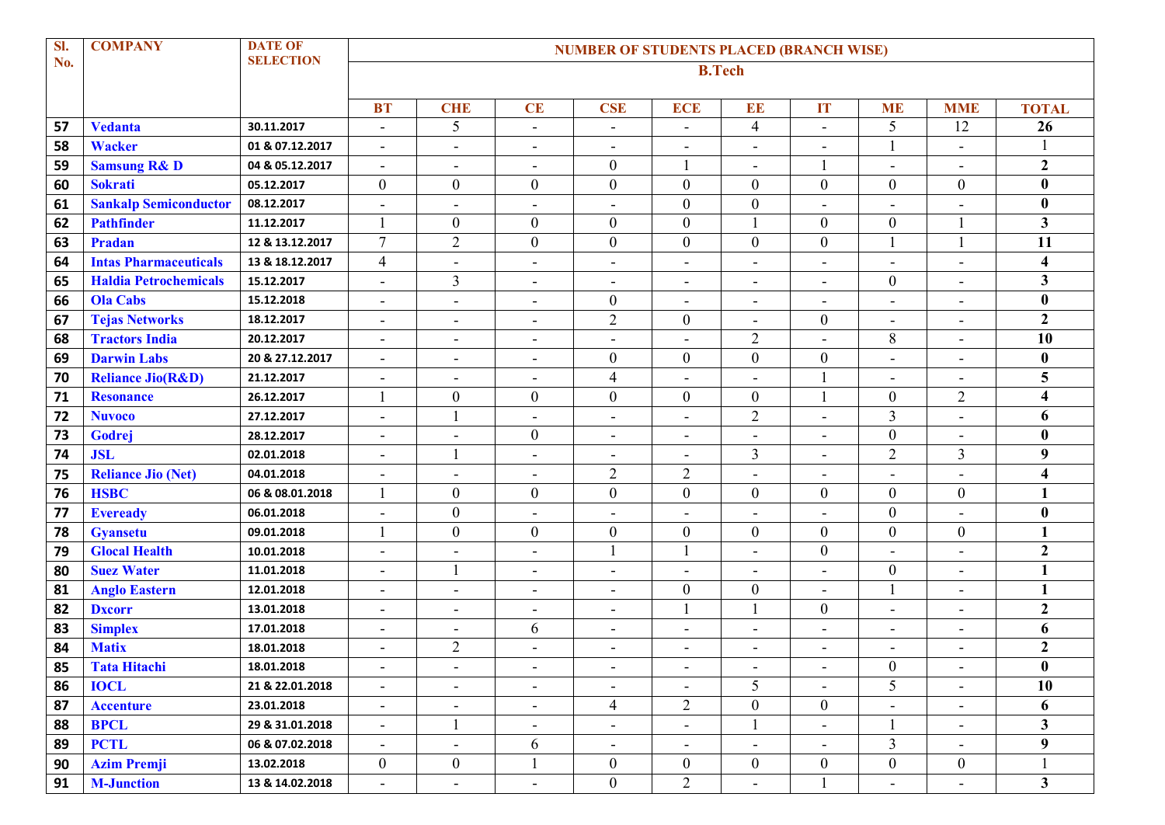| Sl. | <b>COMPANY</b>               | <b>DATE OF</b>   | <b>NUMBER OF STUDENTS PLACED (BRANCH WISE)</b> |                          |                          |                          |                          |                          |                              |                          |                          |                         |  |
|-----|------------------------------|------------------|------------------------------------------------|--------------------------|--------------------------|--------------------------|--------------------------|--------------------------|------------------------------|--------------------------|--------------------------|-------------------------|--|
| No. |                              | <b>SELECTION</b> | <b>B.Tech</b>                                  |                          |                          |                          |                          |                          |                              |                          |                          |                         |  |
|     |                              |                  | <b>BT</b>                                      | <b>CHE</b>               | CE                       | <b>CSE</b>               | <b>ECE</b>               | EE                       | IT                           | <b>ME</b>                | <b>MME</b>               | <b>TOTAL</b>            |  |
| 57  | <b>Vedanta</b>               | 30.11.2017       | ٠                                              | 5                        | $\blacksquare$           | $\blacksquare$           | $\blacksquare$           | $\overline{4}$           | L,                           | 5                        | 12                       | 26                      |  |
| 58  | <b>Wacker</b>                | 01 & 07.12.2017  | ÷                                              | $\blacksquare$           |                          | $\sim$                   | $\blacksquare$           | $\overline{\phantom{a}}$ | $\overline{a}$               | $\mathbf{1}$             | $\blacksquare$           |                         |  |
| 59  | <b>Samsung R&amp; D</b>      | 04 & 05.12.2017  | $\blacksquare$                                 | $\overline{\phantom{a}}$ | $\blacksquare$           | $\boldsymbol{0}$         |                          | $\blacksquare$           |                              | $\blacksquare$           | $\overline{\phantom{a}}$ | $\overline{2}$          |  |
| 60  | <b>Sokrati</b>               | 05.12.2017       | $\overline{0}$                                 | $\mathbf{0}$             | $\overline{0}$           | $\boldsymbol{0}$         | $\mathbf{0}$             | $\overline{0}$           | $\overline{0}$               | $\overline{0}$           | $\mathbf{0}$             | $\bf{0}$                |  |
| 61  | <b>Sankalp Semiconductor</b> | 08.12.2017       | $\overline{a}$                                 | Ē,                       |                          | $\blacksquare$           | $\boldsymbol{0}$         | $\boldsymbol{0}$         |                              |                          |                          | $\bf{0}$                |  |
| 62  | <b>Pathfinder</b>            | 11.12.2017       |                                                | $\boldsymbol{0}$         | $\overline{0}$           | $\boldsymbol{0}$         | $\boldsymbol{0}$         | $\overline{1}$           | $\boldsymbol{0}$             | $\boldsymbol{0}$         |                          | $\mathbf{3}$            |  |
| 63  | Pradan                       | 12 & 13.12.2017  | $\overline{7}$                                 | $\overline{2}$           | $\overline{0}$           | $\boldsymbol{0}$         | $\boldsymbol{0}$         | $\boldsymbol{0}$         | $\boldsymbol{0}$             | $\mathbf{1}$             |                          | 11                      |  |
| 64  | <b>Intas Pharmaceuticals</b> | 13 & 18.12.2017  | $\overline{4}$                                 |                          | $\blacksquare$           | $\sim$                   |                          | $\blacksquare$           | Ĭ.                           | $\blacksquare$           | L.                       | $\overline{\mathbf{4}}$ |  |
| 65  | <b>Haldia Petrochemicals</b> | 15.12.2017       | $\blacksquare$                                 | $\overline{3}$           | $\blacksquare$           | $\overline{\phantom{a}}$ | $\overline{\phantom{a}}$ | $\overline{\phantom{a}}$ | ÷                            | $\boldsymbol{0}$         | $\blacksquare$           | 3                       |  |
| 66  | <b>Ola Cabs</b>              | 15.12.2018       | $\blacksquare$                                 | $\blacksquare$           | $\blacksquare$           | $\boldsymbol{0}$         | $\blacksquare$           | $\overline{\phantom{a}}$ | $\overline{\phantom{a}}$     | $\overline{\phantom{a}}$ | $\overline{\phantom{a}}$ | $\bf{0}$                |  |
| 67  | <b>Tejas Networks</b>        | 18.12.2017       | Ξ.                                             | $\blacksquare$           | $\overline{\phantom{a}}$ | $\overline{2}$           | $\boldsymbol{0}$         | $\blacksquare$           | $\boldsymbol{0}$             | $\blacksquare$           | $\blacksquare$           | $\overline{2}$          |  |
| 68  | <b>Tractors India</b>        | 20.12.2017       | $\blacksquare$                                 | $\overline{\phantom{a}}$ | $\blacksquare$           | $\overline{\phantom{a}}$ | $\blacksquare$           | $\overline{2}$           | Ĭ.                           | $8\,$                    | $\overline{\phantom{a}}$ | 10                      |  |
| 69  | <b>Darwin Labs</b>           | 20 & 27.12.2017  | $\blacksquare$                                 | $\blacksquare$           | $\blacksquare$           | $\boldsymbol{0}$         | $\boldsymbol{0}$         | $\boldsymbol{0}$         | $\boldsymbol{0}$             | $\blacksquare$           | $\overline{\phantom{a}}$ | $\bf{0}$                |  |
| 70  | <b>Reliance Jio(R&amp;D)</b> | 21.12.2017       | ÷,                                             | $\blacksquare$           | $\overline{\phantom{a}}$ | $\overline{4}$           | $\overline{\phantom{a}}$ | $\blacksquare$           |                              | $\blacksquare$           | $\blacksquare$           | 5                       |  |
| 71  | <b>Resonance</b>             | 26.12.2017       |                                                | $\boldsymbol{0}$         | $\overline{0}$           | $\boldsymbol{0}$         | $\boldsymbol{0}$         | $\boldsymbol{0}$         |                              | $\boldsymbol{0}$         | $\overline{2}$           | $\overline{\mathbf{4}}$ |  |
| 72  | <b>Nuvoco</b>                | 27.12.2017       | $\blacksquare$                                 |                          |                          | $\blacksquare$           | $\blacksquare$           | $\overline{2}$           | Ĭ.                           | 3                        | $\overline{a}$           | 6                       |  |
| 73  | Godrej                       | 28.12.2017       | $\blacksquare$                                 | $\blacksquare$           | $\boldsymbol{0}$         | $\blacksquare$           | $\blacksquare$           | $\blacksquare$           | L,                           | $\boldsymbol{0}$         | $\blacksquare$           | $\bf{0}$                |  |
| 74  | <b>JSL</b>                   | 02.01.2018       | Ξ.                                             |                          | $\overline{\phantom{a}}$ | $\blacksquare$           | $\overline{\phantom{a}}$ | $\mathfrak{Z}$           | ÷                            | $\overline{2}$           | $\overline{3}$           | 9                       |  |
| 75  | <b>Reliance Jio (Net)</b>    | 04.01.2018       | $\overline{a}$                                 | $\blacksquare$           | $\blacksquare$           | $\overline{2}$           | $\overline{2}$           | $\overline{\phantom{a}}$ | Ē,                           | $\blacksquare$           | L,                       | $\overline{\mathbf{4}}$ |  |
| 76  | <b>HSBC</b>                  | 06 & 08.01.2018  |                                                | $\boldsymbol{0}$         | $\boldsymbol{0}$         | $\boldsymbol{0}$         | $\boldsymbol{0}$         | $\boldsymbol{0}$         | $\overline{0}$               | $\overline{0}$           | $\boldsymbol{0}$         | 1                       |  |
| 77  | <b>Eveready</b>              | 06.01.2018       | ÷                                              | $\boldsymbol{0}$         |                          | $\overline{\phantom{a}}$ |                          | $\overline{\phantom{a}}$ | Ĭ.                           | $\overline{0}$           |                          | $\bf{0}$                |  |
| 78  | <b>Gyansetu</b>              | 09.01.2018       |                                                | $\mathbf{0}$             | $\overline{0}$           | $\boldsymbol{0}$         | $\mathbf{0}$             | $\boldsymbol{0}$         | $\boldsymbol{0}$             | $\boldsymbol{0}$         | $\mathbf{0}$             | 1                       |  |
| 79  | <b>Glocal Health</b>         | 10.01.2018       | $\overline{\phantom{a}}$                       | $\blacksquare$           | $\overline{\phantom{a}}$ |                          |                          | $\blacksquare$           | $\overline{0}$               | $\blacksquare$           | $\overline{\phantom{a}}$ | $\overline{2}$          |  |
| 80  | <b>Suez Water</b>            | 11.01.2018       | ٠                                              |                          | $\overline{\phantom{a}}$ | $\overline{\phantom{a}}$ |                          | $\blacksquare$           |                              | $\boldsymbol{0}$         |                          | $\mathbf{1}$            |  |
| 81  | <b>Anglo Eastern</b>         | 12.01.2018       | $\blacksquare$                                 | $\blacksquare$           | $\overline{\phantom{a}}$ | $\blacksquare$           | $\boldsymbol{0}$         | $\boldsymbol{0}$         | L,                           | $\mathbf{1}$             | $\overline{a}$           | $\mathbf{1}$            |  |
| 82  | <b>Dxcorr</b>                | 13.01.2018       | $\blacksquare$                                 | $\blacksquare$           | $\blacksquare$           | $\blacksquare$           |                          |                          | $\boldsymbol{0}$             | $\blacksquare$           | $\overline{\phantom{a}}$ | $\overline{2}$          |  |
| 83  | <b>Simplex</b>               | 17.01.2018       | $\overline{\phantom{a}}$                       | $\overline{\phantom{a}}$ | 6                        | $\overline{\phantom{a}}$ | $\overline{\phantom{a}}$ | $\overline{\phantom{a}}$ | ۰                            | $\overline{\phantom{a}}$ | $\overline{a}$           | 6                       |  |
| 84  | <b>Matix</b>                 | 18.01.2018       | Ξ.                                             | $\overline{2}$           |                          | $\overline{a}$           | $\blacksquare$           | $\overline{\phantom{a}}$ | ÷                            | $\overline{\phantom{a}}$ | $\overline{\phantom{a}}$ | $\overline{2}$          |  |
| 85  | <b>Tata Hitachi</b>          | 18.01.2018       | ۰                                              | $\overline{\phantom{a}}$ |                          | $\overline{\phantom{a}}$ | $\blacksquare$           | $\overline{\phantom{a}}$ | $\qquad \qquad \blacksquare$ | $\boldsymbol{0}$         | $\overline{\phantom{a}}$ | $\bf{0}$                |  |
| 86  | <b>IOCL</b>                  | 21 & 22.01.2018  | -                                              | $\blacksquare$           | $\blacksquare$           |                          | $\blacksquare$           | 5                        |                              | 5                        | $\overline{\phantom{a}}$ | $\overline{10}$         |  |
| 87  | <b>Accenture</b>             | 23.01.2018       | $\blacksquare$                                 | $\overline{\phantom{a}}$ | $\overline{\phantom{a}}$ | $\overline{4}$           | 2                        | $\boldsymbol{0}$         | $\boldsymbol{0}$             | $\overline{\phantom{a}}$ | $\overline{\phantom{a}}$ | 6                       |  |
| 88  | <b>BPCL</b>                  | 29 & 31.01.2018  | $\blacksquare$                                 | 1                        | $\overline{\phantom{a}}$ | $\overline{\phantom{a}}$ | $\blacksquare$           | $\mathbf{1}$             | $\overline{\phantom{0}}$     | $\mathbf{1}$             | $\overline{\phantom{a}}$ | $\overline{\mathbf{3}}$ |  |
| 89  | <b>PCTL</b>                  | 06 & 07.02.2018  | $\blacksquare$                                 | $\overline{\phantom{a}}$ | 6                        | $\overline{\phantom{a}}$ | $\overline{\phantom{a}}$ | $\overline{\phantom{a}}$ | ۰                            | 3                        | $\overline{\phantom{a}}$ | 9                       |  |
| 90  | <b>Azim Premji</b>           | 13.02.2018       | $\mathbf{0}$                                   | $\boldsymbol{0}$         | 1                        | $\boldsymbol{0}$         | $\boldsymbol{0}$         | $\boldsymbol{0}$         | $\boldsymbol{0}$             | $\overline{0}$           | $\mathbf{0}$             |                         |  |
| 91  | <b>M-Junction</b>            | 13 & 14.02.2018  | $\blacksquare$                                 | $\blacksquare$           | $\overline{\phantom{a}}$ | $\boldsymbol{0}$         | $\overline{2}$           | $\blacksquare$           |                              | $\blacksquare$           | $\overline{\phantom{a}}$ | $\overline{\mathbf{3}}$ |  |